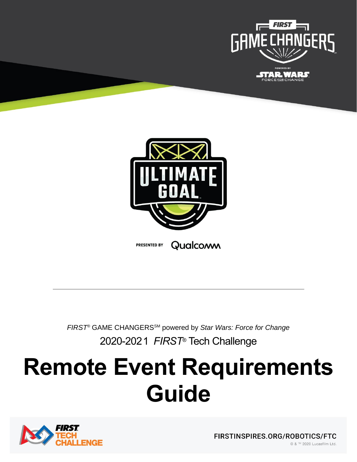



Qualcoww **PRESENTED BY** 

*FIRST*® GAME CHANGERSSM powered by *Star Wars: Force for Change*

2020-2021 *FIRST*® Tech Challenge

# **Remote Event Requirements Guide**



FIRSTINSPIRES.ORG/ROBOTICS/FTC © & ™ 2020 Lucasfilm Ltd.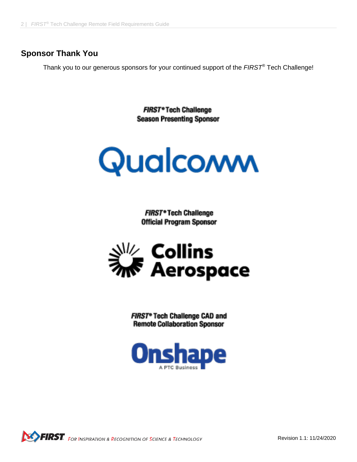# **Sponsor Thank You**

Thank you to our generous sponsors for your continued support of the *FIRST®* Tech Challenge!

**FIRST® Tech Challenge Season Presenting Sponsor** 



**FIRST® Tech Challenge Official Program Sponsor** 



FIRST® Tech Challenge CAD and **Remote Collaboration Sponsor** 



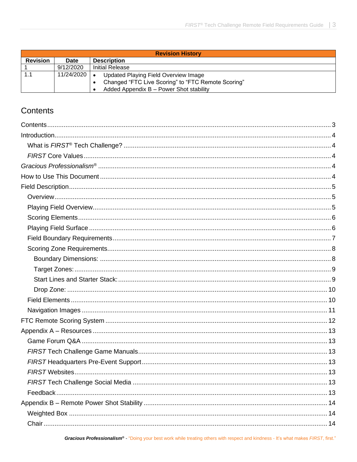| <b>Revision History</b> |            |                                                    |  |
|-------------------------|------------|----------------------------------------------------|--|
| <b>Revision</b>         | Date       | <b>Description</b>                                 |  |
|                         | 9/12/2020  | Initial Release                                    |  |
|                         | 11/24/2020 | Updated Playing Field Overview Image<br>$\bullet$  |  |
|                         |            | Changed "FTC Live Scoring" to "FTC Remote Scoring" |  |
|                         |            | Added Appendix B - Power Shot stability            |  |

# <span id="page-2-0"></span>Contents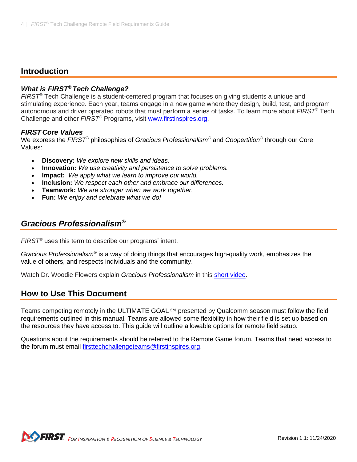## <span id="page-3-0"></span>**Introduction**

## <span id="page-3-1"></span>*What is FIRST® Tech Challenge?*

*FIRST®* Tech Challenge is a student-centered program that focuses on giving students a unique and stimulating experience. Each year, teams engage in a new game where they design, build, test, and program autonomous and driver operated robots that must perform a series of tasks. To learn more about *FIRST®* Tech Challenge and other *FIRST®* Programs, visit [www.firstinspires.org.](http://www.firstinspires.org/)

#### <span id="page-3-2"></span>*FIRST Core Values*

We express the *FIRST®* philosophies of *Gracious Professionalism®* and *Coopertition®* through our Core Values:

- **Discovery:** *We explore new skills and ideas.*
- **Innovation:** *We use creativity and persistence to solve problems.*
- **Impact:** *We apply what we learn to improve our world.*
- **Inclusion:** *We respect each other and embrace our differences.*
- **Teamwork:** *We are stronger when we work together.*
- **Fun:** *We enjoy and celebrate what we do!*

# <span id="page-3-3"></span>*Gracious Professionalism***®**

*FIRST®* uses this term to describe our programs' intent.

*Gracious Professionalism*® is a way of doing things that encourages high-quality work, emphasizes the value of others, and respects individuals and the community.

Watch Dr. Woodie Flowers explain *Gracious Professionalism* in this [short video.](https://www.youtube.com/watch?v=F8ZzoC9tCWg&list=UUkWMXdRQr5yoZRz7gFYyRcw)

## <span id="page-3-4"></span>**How to Use This Document**

Teams competing remotely in the ULTIMATE GOAL <sup>SM</sup> presented by Qualcomm season must follow the field requirements outlined in this manual. Teams are allowed some flexibility in how their field is set up based on the resources they have access to. This guide will outline allowable options for remote field setup.

Questions about the requirements should be referred to the Remote Game forum. Teams that need access to the forum must email [firsttechchallengeteams@firstinspires.org.](mailto:firsttechchallengeteams@firstinspires.org)

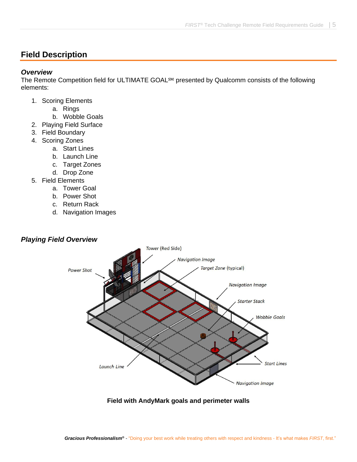# <span id="page-4-0"></span>**Field Description**

## <span id="page-4-1"></span>*Overview*

The Remote Competition field for ULTIMATE GOAL<sup>SM</sup> presented by Qualcomm consists of the following elements:

- 1. Scoring Elements
	- a. Rings
	- b. Wobble Goals
- 2. Playing Field Surface
- 3. Field Boundary
- 4. Scoring Zones
	- a. Start Lines
	- b. Launch Line
	- c. Target Zones
	- d. Drop Zone
- 5. Field Elements
	- a. Tower Goal
	- b. Power Shot
	- c. Return Rack
	- d. Navigation Images

## <span id="page-4-2"></span>*Playing Field Overview*



**Field with AndyMark goals and perimeter walls**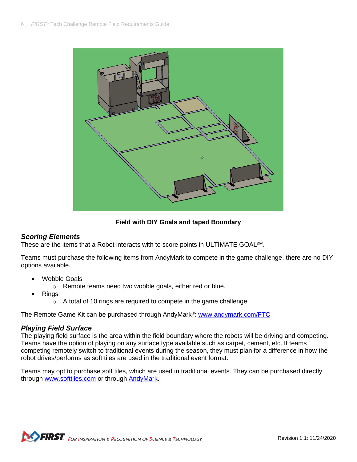

**Field with DIY Goals and taped Boundary**

## <span id="page-5-0"></span>*Scoring Elements*

These are the items that a Robot interacts with to score points in ULTIMATE GOAL℠.

Teams must purchase the following items from AndyMark to compete in the game challenge, there are no DIY options available.

- Wobble Goals
	- o Remote teams need two wobble goals, either red or blue.
- Rings
	- o A total of 10 rings are required to compete in the game challenge.

The Remote Game Kit can be purchased through AndyMark®: [www.andymark.com/FTC](http://www.andymark.com/FTC)

#### <span id="page-5-1"></span>*Playing Field Surface*

The playing field surface is the area within the field boundary where the robots will be driving and competing. Teams have the option of playing on any surface type available such as carpet, cement, etc. If teams competing remotely switch to traditional events during the season, they must plan for a difference in how the robot drives/performs as soft tiles are used in the traditional event format.

Teams may opt to purchase soft tiles, which are used in traditional events. They can be purchased directly through [www.softtiles.com](http://www.softtiles.com/) or through [AndyMark.](https://www.andymark.com/products/soft-tiles-for-first-tech-challenge-field-options?via=Z2lkOi8vYW5keW1hcmsvV29ya2FyZWE6OkNhdGFsb2c6OkNhdGVnb3J5LzViZGI0ZTE1NjFhMTBkMDY2YjQzZDEyYw)

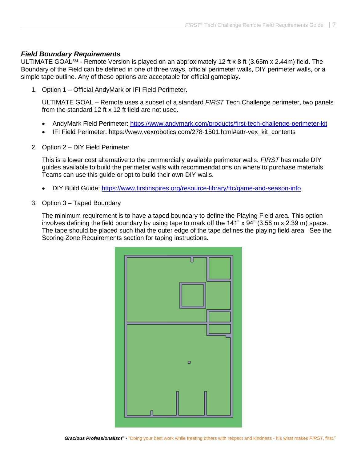## <span id="page-6-0"></span>*Field Boundary Requirements*

ULTIMATE GOAL℠ - Remote Version is played on an approximately 12 ft x 8 ft (3.65m x 2.44m) field. The Boundary of the Field can be defined in one of three ways, official perimeter walls, DIY perimeter walls, or a simple tape outline. Any of these options are acceptable for official gameplay.

1. Option 1 – Official AndyMark or IFI Field Perimeter.

ULTIMATE GOAL – Remote uses a subset of a standard *FIRST* Tech Challenge perimeter, two panels from the standard 12 ft x 12 ft field are not used.

- AndyMark Field Perimeter:<https://www.andymark.com/products/first-tech-challenge-perimeter-kit>
- IFI Field Perimeter: [https://www.vexrobotics.com/278-1501.html#attr-vex\\_kit\\_contents](https://www.vexrobotics.com/278-1501.html#attr-vex_kit_contents)
- 2. Option 2 DIY Field Perimeter

This is a lower cost alternative to the commercially available perimeter walls. *FIRST* has made DIY guides available to build the perimeter walls with recommendations on where to purchase materials. Teams can use this guide or opt to build their own DIY walls.

- DIY Build Guide:<https://www.firstinspires.org/resource-library/ftc/game-and-season-info>
- 3. Option 3 Taped Boundary

The minimum requirement is to have a taped boundary to define the Playing Field area. This option involves defining the field boundary by using tape to mark off the 141" x 94" (3.58 m x 2.39 m) space. The tape should be placed such that the outer edge of the tape defines the playing field area. See the Scoring Zone Requirements section for taping instructions.

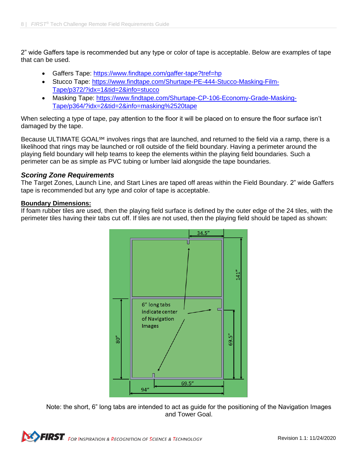2" wide Gaffers tape is recommended but any type or color of tape is acceptable. Below are examples of tape that can be used.

- Gaffers Tape:<https://www.findtape.com/gaffer-tape?tref=hp>
- Stucco Tape: [https://www.findtape.com/Shurtape-PE-444-Stucco-Masking-Film-](https://www.findtape.com/Shurtape-PE-444-Stucco-Masking-Film-Tape/p372/?idx=1&tid=2&info=stucco)[Tape/p372/?idx=1&tid=2&info=stucco](https://www.findtape.com/Shurtape-PE-444-Stucco-Masking-Film-Tape/p372/?idx=1&tid=2&info=stucco)
- Masking Tape: [https://www.findtape.com/Shurtape-CP-106-Economy-Grade-Masking-](https://www.findtape.com/Shurtape-CP-106-Economy-Grade-Masking-Tape/p364/?idx=2&tid=2&info=masking%2520tape)[Tape/p364/?idx=2&tid=2&info=masking%2520tape](https://www.findtape.com/Shurtape-CP-106-Economy-Grade-Masking-Tape/p364/?idx=2&tid=2&info=masking%2520tape)

When selecting a type of tape, pay attention to the floor it will be placed on to ensure the floor surface isn't damaged by the tape.

Because ULTIMATE GOAL<sup>SM</sup> involves rings that are launched, and returned to the field via a ramp, there is a likelihood that rings may be launched or roll outside of the field boundary. Having a perimeter around the playing field boundary will help teams to keep the elements within the playing field boundaries. Such a perimeter can be as simple as PVC tubing or lumber laid alongside the tape boundaries.

#### <span id="page-7-0"></span>*Scoring Zone Requirements*

The Target Zones, Launch Line, and Start Lines are taped off areas within the Field Boundary. 2" wide Gaffers tape is recommended but any type and color of tape is acceptable.

#### <span id="page-7-1"></span>**Boundary Dimensions:**

If foam rubber tiles are used, then the playing field surface is defined by the outer edge of the 24 tiles, with the perimeter tiles having their tabs cut off. If tiles are not used, then the playing field should be taped as shown:



Note: the short, 6" long tabs are intended to act as guide for the positioning of the Navigation Images and Tower Goal.

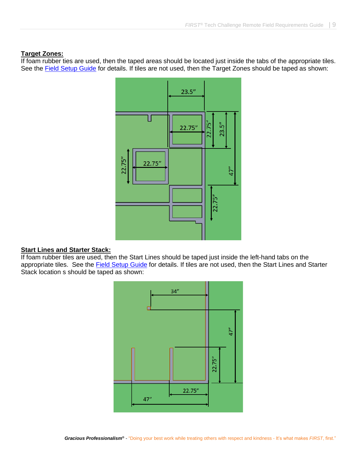#### <span id="page-8-0"></span>**Target Zones:**

If foam rubber ties are used, then the taped areas should be located just inside the tabs of the appropriate tiles. See the **Field Setup Guide** for details. If tiles are not used, then the Target Zones should be taped as shown:



#### <span id="page-8-1"></span>**Start Lines and Starter Stack:**

If foam rubber tiles are used, then the Start Lines should be taped just inside the left-hand tabs on the appropriate tiles. See the [Field Setup Guide](https://www.firstinspires.org/resource-library/ftc/game-and-season-info) for details. If tiles are not used, then the Start Lines and Starter Stack location s should be taped as shown:



Gracious Professionalism<sup>®</sup> - "Doing your best work while treating others with respect and kindness - It's what makes *FIRST*, first."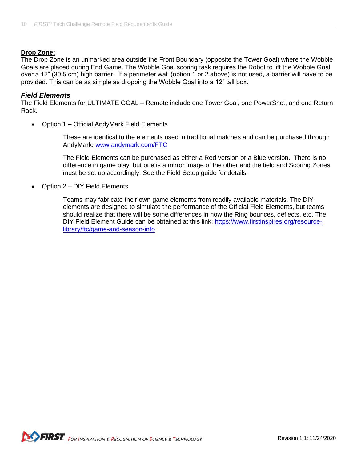#### <span id="page-9-0"></span>**Drop Zone:**

The Drop Zone is an unmarked area outside the Front Boundary (opposite the Tower Goal) where the Wobble Goals are placed during End Game. The Wobble Goal scoring task requires the Robot to lift the Wobble Goal over a 12" (30.5 cm) high barrier. If a perimeter wall (option 1 or 2 above) is not used, a barrier will have to be provided. This can be as simple as dropping the Wobble Goal into a 12" tall box.

#### <span id="page-9-1"></span>*Field Elements*

The Field Elements for ULTIMATE GOAL – Remote include one Tower Goal, one PowerShot, and one Return Rack.

• Option 1 – Official AndyMark Field Elements

These are identical to the elements used in traditional matches and can be purchased through AndyMark: [www.andymark.com/FTC](http://www.andymark.com/FTC)

The Field Elements can be purchased as either a Red version or a Blue version. There is no difference in game play, but one is a mirror image of the other and the field and Scoring Zones must be set up accordingly. See the Field Setup guide for details.

• Option 2 – DIY Field Elements

Teams may fabricate their own game elements from readily available materials. The DIY elements are designed to simulate the performance of the Official Field Elements, but teams should realize that there will be some differences in how the Ring bounces, deflects, etc. The DIY Field Element Guide can be obtained at this link: [https://www.firstinspires.org/resource](https://www.firstinspires.org/resource-library/ftc/game-and-season-info)[library/ftc/game-and-season-info](https://www.firstinspires.org/resource-library/ftc/game-and-season-info)

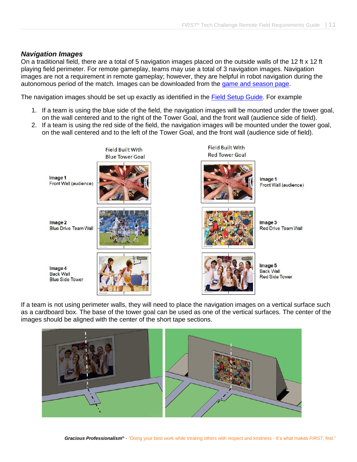## <span id="page-10-0"></span>*Navigation Images*

On a traditional field, there are a total of 5 navigation images placed on the outside walls of the 12 ft x 12 ft playing field perimeter. For remote gameplay, teams may use a total of 3 navigation images. Navigation images are not a requirement in remote gameplay; however, they are helpful in robot navigation during the autonomous period of the match. Images can be downloaded from the [game and season page.](https://www.firstinspires.org/resource-library/ftc/game-and-season-info)

The navigation images should be set up exactly as identified in the [Field Setup Guide.](https://www.firstinspires.org/resource-library/ftc/game-and-season-info) For example

- 1. If a team is using the blue side of the field, the navigation images will be mounted under the tower goal, on the wall centered and to the right of the Tower Goal, and the front wall (audience side of field).
- 2. If a team is using the red side of the field, the navigation images will be mounted under the tower goal, on the wall centered and to the left of the Tower Goal, and the front wall (audience side of field).



If a team is not using perimeter walls, they will need to place the navigation images on a vertical surface such as a cardboard box. The base of the tower goal can be used as one of the vertical surfaces. The center of the images should be aligned with the center of the short tape sections.

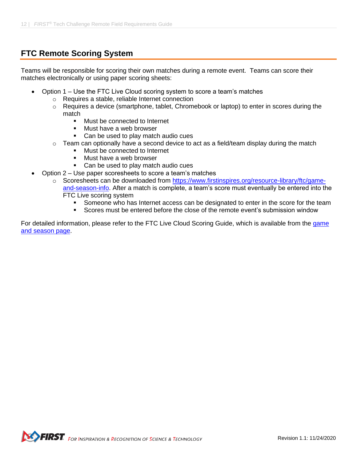# <span id="page-11-0"></span>**FTC Remote Scoring System**

Teams will be responsible for scoring their own matches during a remote event. Teams can score their matches electronically or using paper scoring sheets:

- Option 1 Use the FTC Live Cloud scoring system to score a team's matches
	- o Requires a stable, reliable Internet connection
	- $\circ$  Requires a device (smartphone, tablet, Chromebook or laptop) to enter in scores during the match
		- Must be connected to Internet
		- Must have a web browser
		- Can be used to play match audio cues
	- $\circ$  Team can optionally have a second device to act as a field/team display during the match
		- Must be connected to Internet
		- Must have a web browser
		- Can be used to play match audio cues
- Option 2 Use paper scoresheets to score a team's matches
	- o Scoresheets can be downloaded from [https://www.firstinspires.org/resource-library/ftc/game](https://www.firstinspires.org/resource-library/ftc/game-and-season-info)[and-season-info.](https://www.firstinspires.org/resource-library/ftc/game-and-season-info) After a match is complete, a team's score must eventually be entered into the FTC Live scoring system
		- **•** Someone who has Internet access can be designated to enter in the score for the team
		- Scores must be entered before the close of the remote event's submission window

For detailed information, please refer to the FTC Live Cloud Scoring Guide, which is available from the game [and season page.](https://www.firstinspires.org/resource-library/ftc/game-and-season-info)

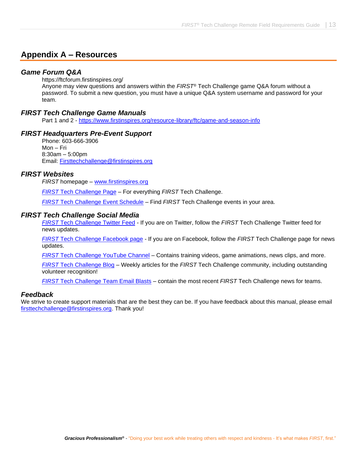# <span id="page-12-0"></span>**Appendix A – Resources**

#### <span id="page-12-1"></span>*Game Forum Q&A*

https://ftcforum.firstinspires.org/

Anyone may view questions and answers within the *FIRST®* Tech Challenge game Q&A forum without a password. To submit a new question, you must have a unique Q&A system username and password for your team.

#### <span id="page-12-2"></span>*FIRST Tech Challenge Game Manuals*

Part 1 and 2 - <https://www.firstinspires.org/resource-library/ftc/game-and-season-info>

#### <span id="page-12-3"></span>*FIRST Headquarters Pre-Event Support*

Phone: 603-666-3906 Mon – Fri 8:30am – 5:00pm Email: [Firsttechchallenge@firstinspires.org](mailto:FTCTeams@firstinspires.org)

#### <span id="page-12-4"></span>*FIRST Websites*

*FIRST* homepage – [www.firstinspires.org](http://www.firstinspires.org/)

*FIRST* [Tech Challenge Page](http://www.firstinspires.org/robotics/ftc) – For everything *FIRST* Tech Challenge.

*FIRST* [Tech Challenge Event](http://www.firstinspires.org/team-event-search) Schedule – Find *FIRST* Tech Challenge events in your area.

#### <span id="page-12-5"></span>*FIRST Tech Challenge Social Media*

*FIRST* [Tech Challenge Twitter Feed](https://twitter.com/FTCTeams) - If you are on Twitter, follow the *FIRST* Tech Challenge Twitter feed for news updates.

*FIRST* [Tech Challenge Facebook page](https://www.facebook.com/FTCTeams) - If you are on Facebook, follow the *FIRST* Tech Challenge page for news updates.

*FIRST* [Tech Challenge YouTube Channel](https://www.youtube.com/user/FIRSTTechChallenge) – Contains training videos, game animations, news clips, and more.

*FIRST* [Tech Challenge Blog](http://firsttechchallenge.blogspot.com/) – Weekly articles for the *FIRST* Tech Challenge community, including outstanding volunteer recognition!

*FIRST* [Tech Challenge Team](http://www.firstinspires.org/node/4311) Email Blasts – contain the most recent *FIRST* Tech Challenge news for teams.

#### <span id="page-12-6"></span>*Feedback*

We strive to create support materials that are the best they can be. If you have feedback about this manual, please email [firsttechchallenge@firstinspires.org.](mailto:ftcteams@firstinspires.org) Thank you!